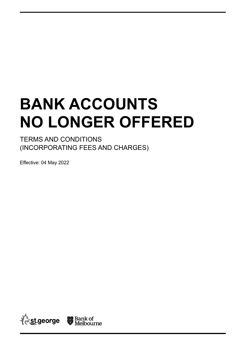# **BANK ACCOUNTS NO LONGER OFFERED**

TERMS AND CONDITIONS (INCORPORATING FEES AND CHARGES)

Effective: 04 May 2022

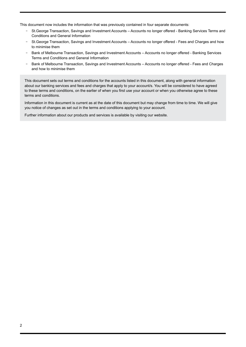This document now includes the information that was previously contained in four separate documents:

- St.George Transaction, Savings and Investment Accounts Accounts no longer offered Banking Services Terms and Conditions and General Information
- St.George Transaction, Savings and Investment Accounts Accounts no longer offered Fees and Charges and how to minimise them
- Bank of Melbourne Transaction, Savings and Investment Accounts Accounts no longer offered Banking Services Terms and Conditions and General Information
- Bank of Melbourne Transaction, Savings and Investment Accounts Accounts no longer offered Fees and Charges and how to minimise them

This document sets out terms and conditions for the accounts listed in this document, along with general information about our banking services and fees and charges that apply to your account/s. You will be considered to have agreed to these terms and conditions, on the earlier of when you first use your account or when you otherwise agree to these terms and conditions.

Information in this document is current as at the date of this document but may change from time to time. We will give you notice of changes as set out in the terms and conditions applying to your account.

Further information about our products and services is available by visiting our website.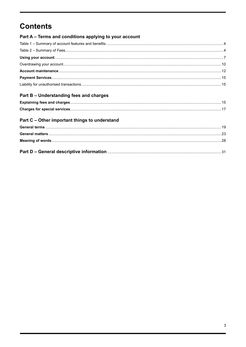# **Contents**

| Part A – Terms and conditions applying to your account |  |
|--------------------------------------------------------|--|
|                                                        |  |
|                                                        |  |
|                                                        |  |
|                                                        |  |
|                                                        |  |
|                                                        |  |
|                                                        |  |
| Part B - Understanding fees and charges                |  |

# 

# Part C - Other important things to understand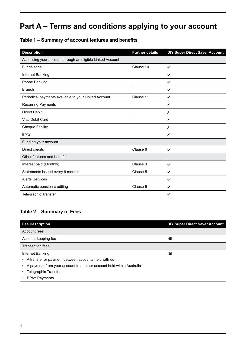# <span id="page-3-0"></span>**Part A – Terms and conditions applying to your account**

# **Table 1 – Summary of account features and benefits**

| <b>Description</b>                                        | <b>Further details</b> | <b>DIY Super Direct Saver Account</b> |  |
|-----------------------------------------------------------|------------------------|---------------------------------------|--|
| Accessing your account through an eligible Linked Account |                        |                                       |  |
| Funds at call                                             | Clause 10              | $\checkmark$                          |  |
| Internet Banking                                          |                        | V                                     |  |
| Phone Banking                                             |                        | V                                     |  |
| <b>Branch</b>                                             |                        | V                                     |  |
| Periodical payments available to your Linked Account      | Clause 11              | V                                     |  |
| <b>Recurring Payments</b>                                 |                        | X                                     |  |
| <b>Direct Debit</b>                                       |                        | X                                     |  |
| Visa Debit Card                                           |                        | X                                     |  |
| <b>Cheque Facility</b>                                    |                        | X                                     |  |
| <b>BPAY</b>                                               |                        | Х                                     |  |
| Funding your account                                      |                        |                                       |  |
| Direct credits                                            | Clause 8               | $\boldsymbol{\nu}$                    |  |
| Other features and benefits                               |                        |                                       |  |
| Interest paid (Monthly)                                   | Clause 3               | V                                     |  |
| Statements issued every 6 months                          | Clause 5               | V                                     |  |
| <b>Alerts Services</b>                                    |                        | V                                     |  |
| Automatic pension crediting                               | Clause 9               | V                                     |  |
| Telegraphic Transfer                                      |                        | V                                     |  |

# **Table 2 – Summary of Fees**

| <b>Fee Description</b>                                               | <b>DIY Super Direct Saver Account</b> |  |
|----------------------------------------------------------------------|---------------------------------------|--|
| Account fees                                                         |                                       |  |
| Account-keeping fee                                                  | Nil                                   |  |
| <b>Transaction fees</b>                                              |                                       |  |
| Internet Banking                                                     | Nil                                   |  |
| A transfer or payment between accounts held with us                  |                                       |  |
| A payment from your account to another account held within Australia |                                       |  |
| <b>Telegraphic Transfers</b>                                         |                                       |  |
| <b>BPAY Payments.</b>                                                |                                       |  |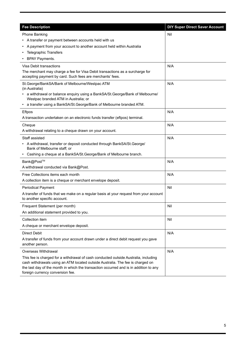| <b>Fee Description</b>                                                                                                                                                                                                                                                                             | <b>DIY Super Direct Saver Account</b> |
|----------------------------------------------------------------------------------------------------------------------------------------------------------------------------------------------------------------------------------------------------------------------------------------------------|---------------------------------------|
| <b>Phone Banking</b>                                                                                                                                                                                                                                                                               | Nil                                   |
| • A transfer or payment between accounts held with us                                                                                                                                                                                                                                              |                                       |
| A payment from your account to another account held within Australia                                                                                                                                                                                                                               |                                       |
| <b>Telegraphic Transfers</b>                                                                                                                                                                                                                                                                       |                                       |
| <b>BPAY Payments.</b>                                                                                                                                                                                                                                                                              |                                       |
| Visa Debit transactions                                                                                                                                                                                                                                                                            | N/A                                   |
| The merchant may charge a fee for Visa Debit transactions as a surcharge for<br>accepting payment by card. Such fees are merchants' fees.                                                                                                                                                          |                                       |
| St.George/BankSA/Bank of Melbourne/Westpac ATM<br>(in Australia)                                                                                                                                                                                                                                   | N/A                                   |
| • a withdrawal or balance enquiry using a BankSA/St.George/Bank of Melbourne/<br>Westpac branded ATM in Australia; or                                                                                                                                                                              |                                       |
| • a transfer using a BankSA/St. George/Bank of Melbourne branded ATM.                                                                                                                                                                                                                              |                                       |
| Eftpos                                                                                                                                                                                                                                                                                             | N/A                                   |
| A transaction undertaken on an electronic funds transfer (eftpos) terminal.                                                                                                                                                                                                                        |                                       |
| Cheque                                                                                                                                                                                                                                                                                             | N/A                                   |
| A withdrawal relating to a cheque drawn on your account.                                                                                                                                                                                                                                           |                                       |
| Staff assisted                                                                                                                                                                                                                                                                                     | N/A                                   |
| • A withdrawal, transfer or deposit conducted through BankSA/St. George/<br>Bank of Melbourne staff; or                                                                                                                                                                                            |                                       |
| Cashing a cheque at a BankSA/St.George/Bank of Melbourne branch.                                                                                                                                                                                                                                   |                                       |
| Bank@Post™                                                                                                                                                                                                                                                                                         | N/A                                   |
| A withdrawal conducted via Bank@Post.                                                                                                                                                                                                                                                              |                                       |
| Free Collections items each month                                                                                                                                                                                                                                                                  | N/A                                   |
| A collection item is a cheque or merchant envelope deposit.                                                                                                                                                                                                                                        |                                       |
| <b>Periodical Payment</b>                                                                                                                                                                                                                                                                          | Nil                                   |
| A transfer of funds that we make on a regular basis at your request from your account<br>to another specific account.                                                                                                                                                                              |                                       |
| Frequent Statement (per month)                                                                                                                                                                                                                                                                     | Nil                                   |
| An additional statement provided to you.                                                                                                                                                                                                                                                           |                                       |
| Collection item                                                                                                                                                                                                                                                                                    | Nil                                   |
| A cheque or merchant envelope deposit.                                                                                                                                                                                                                                                             |                                       |
| <b>Direct Debit</b>                                                                                                                                                                                                                                                                                | N/A                                   |
| A transfer of funds from your account drawn under a direct debit request you gave<br>another person.                                                                                                                                                                                               |                                       |
| Overseas Withdrawal                                                                                                                                                                                                                                                                                | N/A                                   |
| This fee is charged for a withdrawal of cash conducted outside Australia, including<br>cash withdrawals using an ATM located outside Australia. The fee is charged on<br>the last day of the month in which the transaction occurred and is in addition to any<br>foreign currency conversion fee. |                                       |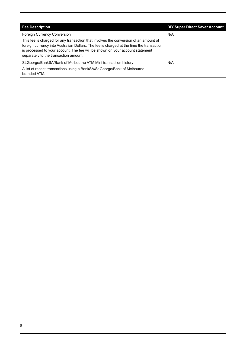| <b>Fee Description</b>                                                                                                                                                                                                                                                                                     | <b>DIY Super Direct Saver Account</b> |
|------------------------------------------------------------------------------------------------------------------------------------------------------------------------------------------------------------------------------------------------------------------------------------------------------------|---------------------------------------|
| Foreign Currency Conversion                                                                                                                                                                                                                                                                                | N/A                                   |
| This fee is charged for any transaction that involves the conversion of an amount of<br>foreign currency into Australian Dollars. The fee is charged at the time the transaction<br>is processed to your account. The fee will be shown on your account statement<br>separately to the transaction amount. |                                       |
| St. George/BankSA/Bank of Melbourne ATM Mini transaction history                                                                                                                                                                                                                                           | N/A                                   |
| A list of recent transactions using a BankSA/St. George/Bank of Melbourne<br>branded ATM.                                                                                                                                                                                                                  |                                       |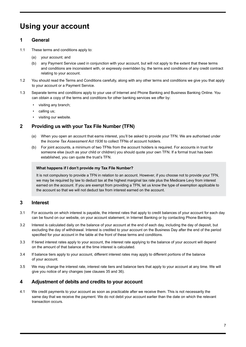# <span id="page-6-0"></span>**Using your account**

# **1 General**

- 1.1 These terms and conditions apply to:
	- (a) your account; and
	- (b) any Payment Service used in conjunction with your account, but will not apply to the extent that these terms and conditions are inconsistent with, or expressly overridden by, the terms and conditions of any credit contract relating to your account.
- 1.2 You should read the Terms and Conditions carefully, along with any other terms and conditions we give you that apply to your account or a Payment Service.
- 1.3 Separate terms and conditions apply to your use of Internet and Phone Banking and Business Banking Online. You can obtain a copy of the terms and conditions for other banking services we offer by:
	- visiting any branch;
	- calling us;
	- visiting our website.

# **2 Providing us with your Tax File Number (TFN)**

- (a) When you open an account that earns interest, you'll be asked to provide your TFN. We are authorised under the *Income Tax Assessment Act 1936* to collect TFNs of account holders.
- (b) For joint accounts, a minimum of two TFNs from the account holders is required. For accounts in trust for someone else (such as your child or children) you should quote your own TFN. If a formal trust has been established, you can quote the trust's TFN.

#### **What happens if I don't provide my Tax File Number?**

It is not compulsory to provide a TFN in relation to an account. However, if you choose not to provide your TFN, we may be required by law to deduct tax at the highest marginal tax rate plus the Medicare Levy from interest earned on the account. If you are exempt from providing a TFN, let us know the type of exemption applicable to the account so that we will not deduct tax from interest earned on the account.

# **3 Interest**

- 3.1 For accounts on which interest is payable, the interest rates that apply to credit balances of your account for each day can be found on our website, on your account statement, in Internet Banking or by contacting Phone Banking.
- 3.2 Interest is calculated daily on the balance of your account at the end of each day, including the day of deposit, but excluding the day of withdrawal. Interest is credited to your account on the Business Day after the end of the period specified for your account in the table at the front of these terms and conditions.
- 3.3 If tiered interest rates apply to your account, the interest rate applying to the balance of your account will depend on the amount of that balance at the time interest is calculated.
- 3.4 If balance tiers apply to your account, different interest rates may apply to different portions of the balance of your account.
- 3.5 We may change the interest rate, interest rate tiers and balance tiers that apply to your account at any time. We will give you notice of any changes (see clauses 35 and 36).

# **4 Adjustment of debits and credits to your account**

4.1 We credit payments to your account as soon as practicable after we receive them. This is not necessarily the same day that we receive the payment. We do not debit your account earlier than the date on which the relevant transaction occurs.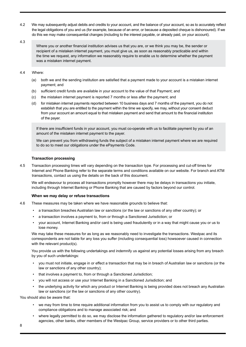4.2 We may subsequently adjust debits and credits to your account, and the balance of your account, so as to accurately reflect the legal obligations of you and us (for example, because of an error, or because a deposited cheque is dishonoured). If we do this we may make consequential changes (including to the interest payable, or already paid, on your account).

#### 4.3

Where you or another financial institution advises us that you are, or we think you may be, the sender or recipient of a mistaken internet payment, you must give us, as soon as reasonably practicable and within the time we request, any information we reasonably require to enable us to determine whether the payment was a mistaken internet payment.

#### 4.4 Where:

- (a) both we and the sending institution are satisfied that a payment made to your account is a mistaken internet payment; and
- (b) sufficient credit funds are available in your account to the value of that Payment; and
- (c) the mistaken internet payment is reported 7 months or less after the payment; and
- (d) for mistaken internet payments reported between 10 business days and 7 months of the payment, you do not establish that you are entitled to the payment within the time we specify, we may, without your consent deduct from your account an amount equal to that mistaken payment and send that amount to the financial institution of the payer.

If there are insufficient funds in your account, you must co‑operate with us to facilitate payment by you of an amount of the mistaken internet payment to the payer.

We can prevent you from withdrawing funds the subject of a mistaken internet payment where we are required to do so to meet our obligations under the ePayments Code.

#### **Transaction processing**

4.5 Transaction processing times will vary depending on the transaction type. For processing and cut-off times for Internet and Phone Banking refer to the separate terms and conditions available on our website. For branch and ATM transactions, contact us using the details on the back of this document.

We will endeavour to process all transactions promptly however there may be delays in transactions you initiate, including through Internet Banking or Phone Banking that are caused by factors beyond our control.

#### **When we may delay or refuse transactions**

- 4.6 These measures may be taken where we have reasonable grounds to believe that:
	- a transaction breaches Australian law or sanctions (or the law or sanctions of any other country); or
	- a transaction involves a payment to, from or through a Sanctioned Jurisdiction; or
	- your account, Internet Banking and/or card is being used fraudulently or in a way that might cause you or us to lose money.

We may take these measures for as long as we reasonably need to investigate the transactions. Westpac and its correspondents are not liable for any loss you suffer (including consequential loss) howsoever caused in connection with the relevant product(s).

You provide us with the following undertakings and indemnify us against any potential losses arising from any breach by you of such undertakings:

- you must not initiate, engage in or effect a transaction that may be in breach of Australian law or sanctions (or the law or sanctions of any other country);
- that involves a payment to, from or through a Sanctioned Jurisdiction;
- you will not access or use your Internet Banking in a Sanctioned Jurisdiction; and
- the underlying activity for which any product or Internet Banking is being provided does not breach any Australian law or sanctions (or the law or sanctions of any other country).

You should also be aware that:

- we may from time to time require additional information from you to assist us to comply with our regulatory and compliance obligations and to manage associated risk; and
- where legally permitted to do so, we may disclose the information gathered to regulatory and/or law enforcement agencies, other banks, other members of the Westpac Group, service providers or to other third parties.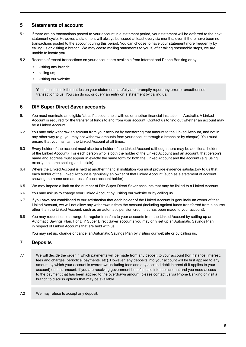# **5 Statements of account**

- 5.1 If there are no transactions posted to your account in a statement period, your statement will be deferred to the next statement cycle. However, a statement will always be issued at least every six months, even if there have been no transactions posted to the account during this period. You can choose to have your statement more frequently by calling us or visiting a branch. We may cease mailing statements to you if, after taking reasonable steps, we are unable to locate you.
- 5.2 Records of recent transactions on your account are available from Internet and Phone Banking or by:
	- visiting any branch;
	- calling us;
	- visiting our website.

You should check the entries on your statement carefully and promptly report any error or unauthorised transaction to us. You can do so, or query an entry on a statement by calling us.

### **6 DIY Super Direct Saver accounts**

- 6.1 You must nominate an eligible "at-call" account held with us or another financial institution in Australia. A Linked Account is required for the transfer of funds to and from your account. Contact us to find out whether an account may be a Linked Account.
- 6.2 You may only withdraw an amount from your account by transferring that amount to the Linked Account, and not in any other way (e.g. you may not withdraw amounts from your account through a branch or by cheque). You must ensure that you maintain the Linked Account at all times.
- 6.3 Every holder of the account must also be a holder of the Linked Account (although there may be additional holders of the Linked Account). For each person who is both the holder of the Linked Account and an account, that person's name and address must appear in exactly the same form for both the Linked Account and the account (e.g. using exactly the same spelling and initials).
- 6.4 Where the Linked Account is held at another financial institution you must provide evidence satisfactory to us that each holder of the Linked Account is genuinely an owner of that Linked Account (such as a statement of account showing the name and address of each account holder).
- 6.5 We may impose a limit on the number of DIY Super Direct Saver accounts that may be linked to a Linked Account.
- 6.6 You may ask us to change your Linked Account by visiting our website or by calling us.
- 6.7 If you have not established to our satisfaction that each holder of the Linked Account is genuinely an owner of that Linked Account, we will not allow any withdrawals from the account (including against funds transferred from a source other than the Linked Account, such as an automatic pension credit that has been made to your account).
- 6.8 You may request us to arrange for regular transfers to your accounts from the Linked Account by setting up an Automatic Savings Plan. For DIY Super Direct Saver accounts you may only set up an Automatic Savings Plan in respect of Linked Accounts that are held with us.

You may set up, change or cancel an Automatic Savings Plan by visiting our website or by calling us.

# **7 Deposits**

- 7.1 We will decide the order in which payments will be made from any deposit to your account (for instance, interest, fees and charges, periodical payments, etc). However, any deposits into your account will be first applied to any amount by which your account is overdrawn including fees and any accrued debit interest (if it applies to your account) on that amount. If you are receiving government benefits paid into the account and you need access to the payment that has been applied to the overdrawn amount, please contact us via Phone Banking or visit a branch to discuss options that may be available.
- 7.2 We may refuse to accept any deposit.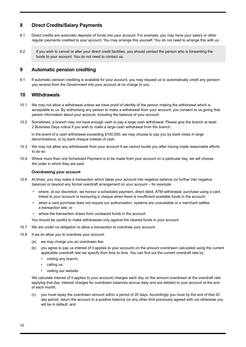# <span id="page-9-0"></span>**8 Direct Credits/Salary Payments**

- 8.1 Direct credits are automatic deposits of funds into your account. For example, you may have your salary or other regular payments credited to your account. You may arrange this yourself. You do not need to arrange this with us.
- 8.2 If you wish to cancel or alter your direct credit facilities, you should contact the person who is forwarding the funds to your account. You do not need to contact us.

# **9 Automatic pension crediting**

9.1 If automatic pension crediting is available for your account, you may request us to automatically credit any pension you receive from the Government into your account at no charge to you.

#### **10 Withdrawals**

- 10.1 We may not allow a withdrawal unless we have proof of identity of the person making the withdrawal which is acceptable to us. By authorising any person to make a withdrawal from your account, you consent to us giving that person information about your account, including the balance of your account.
- 10.2 Sometimes, a branch may not have enough cash to pay a large cash withdrawal. Please give the branch at least 2 Business Days notice if you wish to make a large cash withdrawal from the branch.

In the event of a cash withdrawal exceeding \$100,000, we may choose to pay you by bank notes in large denominations, or by bank cheque instead of cash.

- 10.3 We may not allow any withdrawals from your account if we cannot locate you after having made reasonable efforts to do so.
- 10.4 Where more than one Scheduled Payment is to be made from your account on a particular day, we will choose the order in which they are paid.

#### **Overdrawing your account**

- 10.6 At times, you may make a transaction which takes your account into negative balance (or further into negative balance) or beyond any formal overdraft arrangement on your account – for example:
	- where, at our discretion, we honour a scheduled payment, direct debit, ATM withdrawal, purchase using a card linked to your account or honouring a cheque when there is insufficient available funds in the account;
	- when a card purchase does not require our authorisation, systems are unavailable or a merchant settles a transaction late; or
	- where the transaction draws from uncleared funds in the account.

You should be careful to make withdrawals only against the cleared funds in your account.

- 10.7 We are under no obligation to allow a transaction to overdraw your account.
- 10.8 If we do allow you to overdraw your account:
	- (a) we may charge you an overdrawn fee;
	- (b) you agree to pay us interest (if it applies to your account) on the amount overdrawn calculated using the current applicable overdraft rate we specify from time to time. You can find out the current overdraft rate by:
		- visiting any branch;
		- calling us;
		- visiting our website

We calculate interest (if it applies to your account) charges each day on the amount overdrawn at the overdraft rate applying that day. Interest charges for overdrawn balances accrue daily and are debited to your account at the end of each month;

you must repay the overdrawn amount within a period of 20 days. Accordingly you must by the end of that 20 day period, return the account to a positive balance (or any other limit previously agreed with us) otherwise you will be in default; and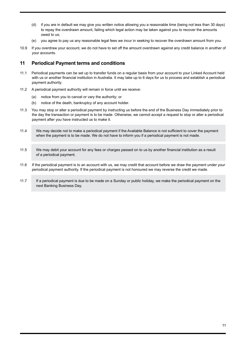- (d) if you are in default we may give you written notice allowing you a reasonable time (being not less than 30 days) to repay the overdrawn amount, failing which legal action may be taken against you to recover the amounts owed to us;
- (e) you agree to pay us any reasonable legal fees we incur in seeking to recover the overdrawn amount from you.
- 10.9 If you overdraw your account, we do not have to set off the amount overdrawn against any credit balance in another of your accounts.

### **11 Periodical Payment terms and conditions**

- 11.1 Periodical payments can be set up to transfer funds on a regular basis from your account to your Linked Account held with us or another financial institution in Australia. It may take up to 6 days for us to process and establish a periodical payment authority.
- 11.2 A periodical payment authority will remain in force until we receive:
	- (a) notice from you to cancel or vary the authority; or
	- (b) notice of the death, bankruptcy of any account holder.
- 11.3 You may stop or alter a periodical payment by instructing us before the end of the Business Day immediately prior to the day the transaction or payment is to be made. Otherwise, we cannot accept a request to stop or alter a periodical payment after you have instructed us to make it.
- 11.4 We may decide not to make a periodical payment if the Available Balance is not sufficient to cover the payment when the payment is to be made. We do not have to inform you if a periodical payment is not made.
- 11.5 We may debit your account for any fees or charges passed on to us by another financial institution as a result of a periodical payment.
- 11.6 If the periodical payment is to an account with us, we may credit that account before we draw the payment under your periodical payment authority. If the periodical payment is not honoured we may reverse the credit we made.
- 11.7 If a periodical payment is due to be made on a Sunday or public holiday, we make the periodical payment on the next Banking Business Day.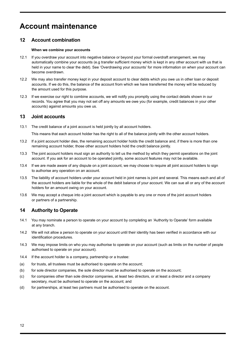# <span id="page-11-0"></span>**Account maintenance**

# **12 Account combination**

#### **When we combine your accounts**

- 12.1 If you overdraw your account into negative balance or beyond your formal overdraft arrangement, we may automatically combine your accounts (e.g transfer sufficient money which is kept in any other account with us that is held in your name to clear the debt). See 'Overdrawing your accounts' for more information on when your account can become overdrawn.
- 12.2 We may also transfer money kept in your deposit account to clear debts which you owe us in other loan or deposit accounts. If we do this, the balance of the account from which we have transferred the money will be reduced by the amount used for this purpose.
- 12.3 If we exercise our right to combine accounts, we will notify you promptly using the contact details shown in our records. You agree that you may not set off any amounts we owe you (for example, credit balances in your other accounts) against amounts you owe us.

# **13 Joint accounts**

13.1 The credit balance of a joint account is held jointly by all account holders.

This means that each account holder has the right to all of the balance jointly with the other account holders.

- 13.2 If a joint account holder dies, the remaining account holder holds the credit balance and, if there is more than one remaining account holder, those other account holders hold the credit balance jointly.
- 13.3 The joint account holders must sign an authority to tell us the method by which they permit operations on the joint account. If you ask for an account to be operated jointly, some account features may not be available.
- 13.4 If we are made aware of any dispute on a joint account, we may choose to require all joint account holders to sign to authorise any operation on an account.
- 13.5 The liability of account holders under your account held in joint names is joint and several. This means each and all of the account holders are liable for the whole of the debit balance of your account. We can sue all or any of the account holders for an amount owing on your account.
- 13.6 We may accept a cheque into a joint account which is payable to any one or more of the joint account holders or partners of a partnership.

# **14 Authority to Operate**

- 14.1 You may nominate a person to operate on your account by completing an 'Authority to Operate' form available at any branch.
- 14.2 We will not allow a person to operate on your account until their identity has been verified in accordance with our identification procedures.
- 14.3 We may impose limits on who you may authorise to operate on your account (such as limits on the number of people authorised to operate on your account).
- 14.4 If the account holder is a company, partnership or a trustee:
- (a) for trusts, all trustees must be authorised to operate on the account;
- (b) for sole director companies, the sole director must be authorised to operate on the account;
- (c) for companies other than sole director companies, at least two directors, or at least a director and a company secretary, must be authorised to operate on the account; and
- (d) for partnerships, at least two partners must be authorised to operate on the account.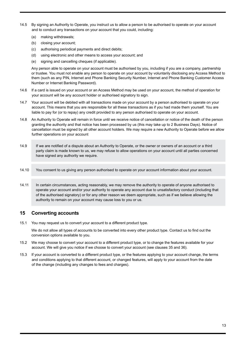- 14.5 By signing an Authority to Operate, you instruct us to allow a person to be authorised to operate on your account and to conduct any transactions on your account that you could, including:
	- (a) making withdrawals;
	- (b) closing your account;
	- (c) authorising periodical payments and direct debits;
	- (d) using electronic and other means to access your account; and
	- (e) signing and cancelling cheques (if applicable).

Any person able to operate on your account must be authorised by you, including if you are a company, partnership or trustee. You must not enable any person to operate on your account by voluntarily disclosing any Access Method to them (such as any PIN, Internet and Phone Banking Security Number, Internet and Phone Banking Customer Access Number or Internet Banking Password).

- 14.6 If a card is issued on your account or an Access Method may be used on your account, the method of operation for your account will be any account holder or authorised signatory to sign.
- 14.7 Your account will be debited with all transactions made on your account by a person authorised to operate on your account. This means that you are responsible for all these transactions as if you had made them yourself. You are liable to pay for (or to repay) any credit provided to any person authorised to operate on your account.
- 14.8 An Authority to Operate will remain in force until we receive notice of cancellation or notice of the death of the person granting the authority and that notice has been processed by us (this may take up to 2 Business Days). Notice of cancellation must be signed by all other account holders. We may require a new Authority to Operate before we allow further operations on your account
- 14.9 If we are notified of a dispute about an Authority to Operate, or the owner or owners of an account or a third party claim is made known to us, we may refuse to allow operations on your account until all parties concerned have signed any authority we require.
- 14.10 You consent to us giving any person authorised to operate on your account information about your account.
- 14.11 In certain circumstances, acting reasonably, we may remove the authority to operate of anyone authorised to operate your account and/or your authority to operate any account due to unsatisfactory conduct (including that of the authorised signatory) or for any other reason we deem appropriate, such as if we believe allowing the authority to remain on your account may cause loss to you or us.

# **15 Converting accounts**

15.1 You may request us to convert your account to a different product type.

We do not allow all types of accounts to be converted into every other product type. Contact us to find out the conversion options available to you.

- 15.2 We may choose to convert your account to a different product type, or to change the features available for your account. We will give you notice if we choose to convert your account (see clauses 35 and 36).
- 15.3 If your account is converted to a different product type, or the features applying to your account change, the terms and conditions applying to that different account, or changed features, will apply to your account from the date of the change (including any changes to fees and charges).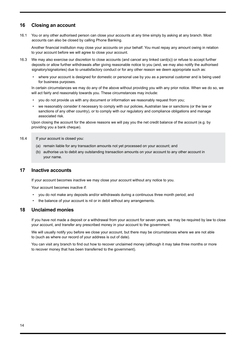# **16 Closing an account**

16.1 You or any other authorised person can close your accounts at any time simply by asking at any branch. Most accounts can also be closed by calling Phone Banking.

Another financial institution may close your accounts on your behalf. You must repay any amount owing in relation to your account before we will agree to close your account.

- 16.3 We may also exercise our discretion to close accounts (and cancel any linked card(s)) or refuse to accept further deposits or allow further withdrawals after giving reasonable notice to you (and, we may also notify the authorised signatory/signatories) due to unsatisfactory conduct or for any other reason we deem appropriate such as:
	- where your account is designed for domestic or personal use by you as a personal customer and is being used for business purposes.

In certain circumstances we may do any of the above without providing you with any prior notice. When we do so, we will act fairly and reasonably towards you. These circumstances may include:

- you do not provide us with any document or information we reasonably request from you;
- we reasonably consider it necessary to comply with our policies, Australian law or sanctions (or the law or sanctions of any other country), or to comply with our regulatory and compliance obligations and manage associated risk.

Upon closing the account for the above reasons we will pay you the net credit balance of the account (e.g. by providing you a bank cheque).

#### 16.4 If your account is closed you:

- (a) remain liable for any transaction amounts not yet processed on your account; and
- (b) authorise us to debit any outstanding transaction amounts on your account to any other account in your name.

#### **17 Inactive accounts**

If your account becomes inactive we may close your account without any notice to you.

Your account becomes inactive if:

- you do not make any deposits and/or withdrawals during a continuous three month period; and
- the balance of your account is nil or in debit without any arrangements.

#### **18 Unclaimed monies**

If you have not made a deposit or a withdrawal from your account for seven years, we may be required by law to close your account, and transfer any prescribed money in your account to the government.

We will usually notify you before we close your account, but there may be circumstances where we are not able to (such as where our record of your address is out of date).

You can visit any branch to find out how to recover unclaimed money (although it may take three months or more to recover money that has been transferred to the government).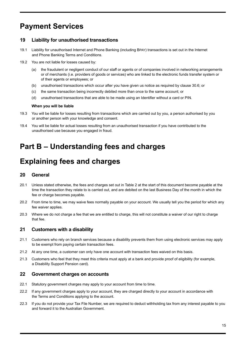# <span id="page-14-0"></span>**Payment Services**

# **19 Liability for unauthorised transactions**

- 19.1 Liability for unauthorised Internet and Phone Banking (including BPAY) transactions is set out in the Internet and Phone Banking Terms and Conditions.
- 19.2 You are not liable for losses caused by:
	- (a) the fraudulent or negligent conduct of our staff or agents or of companies involved in networking arrangements or of merchants (i.e. providers of goods or services) who are linked to the electronic funds transfer system or of their agents or employees; or
	- (b) unauthorised transactions which occur after you have given us notice as required by clause 30.6; or
	- (c) the same transaction being incorrectly debited more than once to the same account; or
	- (d) unauthorised transactions that are able to be made using an Identifier without a card or PIN.

#### **When you will be liable**

- 19.3 You will be liable for losses resulting from transactions which are carried out by you, a person authorised by you or another person with your knowledge and consent.
- 19.4 You will be liable for actual losses resulting from an unauthorised transaction if you have contributed to the unauthorised use because you engaged in fraud.

# **Part B – Understanding fees and charges**

# **Explaining fees and charges**

### **20 General**

- 20.1 Unless stated otherwise, the fees and charges set out in Table 2 at the start of this document become payable at the time the transaction they relate to is carried out, and are debited on the last Business Day of the month in which the fee or charge becomes payable.
- 20.2 From time to time, we may waive fees normally payable on your account. We usually tell you the period for which any fee waiver applies.
- 20.3 Where we do not charge a fee that we are entitled to charge, this will not constitute a waiver of our right to charge that fee.

# **21 Customers with a disability**

- 21.1 Customers who rely on branch services because a disability prevents them from using electronic services may apply to be exempt from paying certain transaction fees.
- 21.2 At any one time, a customer can only have one account with transaction fees waived on this basis.
- 21.3 Customers who feel that they meet this criteria must apply at a bank and provide proof of eligibility (for example, a Disability Support Pension card).

# **22 Government charges on accounts**

- 22.1 Statutory government charges may apply to your account from time to time.
- 22.2 If any government charges apply to your account, they are charged directly to your account in accordance with the Terms and Conditions applying to the account.
- 22.3 If you do not provide your Tax File Number, we are required to deduct withholding tax from any interest payable to you and forward it to the Australian Government.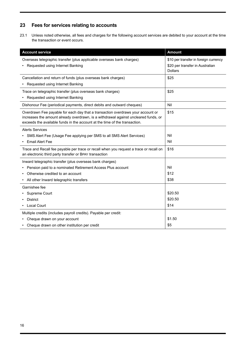# **23 Fees for services relating to accounts**

23.1 Unless noted otherwise, all fees and charges for the following account services are debited to your account at the time the transaction or event occurs.

| <b>Account service</b>                                                                                                                                                                                                                               | <b>Amount</b>                                     |  |
|------------------------------------------------------------------------------------------------------------------------------------------------------------------------------------------------------------------------------------------------------|---------------------------------------------------|--|
| Overseas telegraphic transfer (plus applicable overseas bank charges)                                                                                                                                                                                | \$10 per transfer in foreign currency             |  |
| Requested using Internet Banking                                                                                                                                                                                                                     | \$20 per transfer in Australian<br><b>Dollars</b> |  |
| Cancellation and return of funds (plus overseas bank charges)                                                                                                                                                                                        | \$25                                              |  |
| • Requested using Internet Banking                                                                                                                                                                                                                   |                                                   |  |
| Trace on telegraphic transfer (plus overseas bank charges)<br>Requested using Internet Banking                                                                                                                                                       | \$25                                              |  |
| Dishonour Fee (periodical payments, direct debits and outward cheques)                                                                                                                                                                               | Nil                                               |  |
| Overdrawn Fee payable for each day that a transaction overdraws your account or<br>increases the amount already overdrawn, is a withdrawal against uncleared funds, or<br>exceeds the available funds in the account at the time of the transaction. | \$15                                              |  |
| <b>Alerts Services</b>                                                                                                                                                                                                                               |                                                   |  |
| SMS Alert Fee (Usage Fee applying per SMS to all SMS Alert Services)                                                                                                                                                                                 | Nil                                               |  |
| <b>Email Alert Fee</b>                                                                                                                                                                                                                               | Nil                                               |  |
| Trace and Recall fee payable per trace or recall when you request a trace or recall on<br>an electronic third party transfer or BPAY transaction                                                                                                     | \$16                                              |  |
| Inward telegraphic transfer (plus overseas bank charges)                                                                                                                                                                                             |                                                   |  |
| Pension paid to a nominated Retirement Access Plus account                                                                                                                                                                                           | Nil                                               |  |
| Otherwise credited to an account                                                                                                                                                                                                                     | \$12                                              |  |
| All other Inward telegraphic transfers                                                                                                                                                                                                               | \$38                                              |  |
| Garnishee fee                                                                                                                                                                                                                                        |                                                   |  |
| Supreme Court                                                                                                                                                                                                                                        | \$20.50                                           |  |
| <b>District</b>                                                                                                                                                                                                                                      | \$20.50                                           |  |
| Local Court                                                                                                                                                                                                                                          | \$14                                              |  |
| Multiple credits (includes payroll credits). Payable per credit:                                                                                                                                                                                     |                                                   |  |
| Cheque drawn on your account                                                                                                                                                                                                                         | \$1.50                                            |  |
| Cheque drawn on other institution per credit                                                                                                                                                                                                         | \$5                                               |  |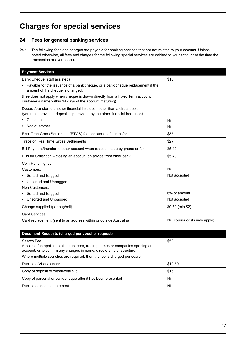# <span id="page-16-0"></span>**Charges for special services**

# **24 Fees for general banking services**

24.1 The following fees and charges are payable for banking services that are not related to your account. Unless noted otherwise, all fees and charges for the following special services are debited to your account at the time the transaction or event occurs.

| <b>Payment Services</b>                                                                                                                                       |                               |  |  |
|---------------------------------------------------------------------------------------------------------------------------------------------------------------|-------------------------------|--|--|
| Bank Cheque (staff assisted)                                                                                                                                  | \$10                          |  |  |
| Payable for the issuance of a bank cheque, or a bank cheque replacement if the<br>amount of the cheque is changed.                                            |                               |  |  |
| (Fee does not apply when cheque is drawn directly from a Fixed Term account in<br>customer's name within 14 days of the account maturing)                     |                               |  |  |
| Deposit/transfer to another financial institution other than a direct debit<br>(you must provide a deposit slip provided by the other financial institution). |                               |  |  |
| Customer                                                                                                                                                      | Nil                           |  |  |
| Non-customer                                                                                                                                                  | Nil                           |  |  |
| Real Time Gross Settlement (RTGS) fee per successful transfer                                                                                                 | \$35                          |  |  |
| Trace on Real Time Gross Settlements                                                                                                                          | \$27                          |  |  |
| Bill Payment/transfer to other account when request made by phone or fax                                                                                      | \$5.40                        |  |  |
| Bills for Collection – closing an account on advice from other bank                                                                                           | \$5.40                        |  |  |
| Coin Handling fee                                                                                                                                             |                               |  |  |
| Customers:                                                                                                                                                    | Nil                           |  |  |
| • Sorted and Bagged                                                                                                                                           | Not accepted                  |  |  |
| Unsorted and Unbagged                                                                                                                                         |                               |  |  |
| Non-Customers:                                                                                                                                                |                               |  |  |
| • Sorted and Bagged                                                                                                                                           | 6% of amount                  |  |  |
| Unsorted and Unbagged                                                                                                                                         | Not accepted                  |  |  |
| Change supplied (per bag/roll)                                                                                                                                | \$0.50 (min \$2)              |  |  |
| <b>Card Services</b>                                                                                                                                          |                               |  |  |
| Card replacement (sent to an address within or outside Australia)                                                                                             | Nil (courier costs may apply) |  |  |

| Document Requests (charged per voucher request)                                                                                                                                                                                                    |         |  |  |
|----------------------------------------------------------------------------------------------------------------------------------------------------------------------------------------------------------------------------------------------------|---------|--|--|
| Search Fee<br>A search fee applies to all businesses, trading names or companies opening an<br>account, or to confirm any changes in name, directorship or structure.<br>Where multiple searches are required, then the fee is charged per search. | \$50    |  |  |
| Duplicate Visa voucher                                                                                                                                                                                                                             | \$10.50 |  |  |
| Copy of deposit or withdrawal slip                                                                                                                                                                                                                 | \$15    |  |  |
| Copy of personal or bank cheque after it has been presented                                                                                                                                                                                        | Nil     |  |  |
| Duplicate account statement                                                                                                                                                                                                                        | Nil     |  |  |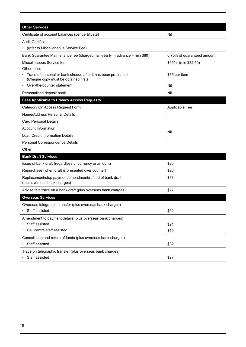| <b>Other Services</b>                                                                                |                            |  |
|------------------------------------------------------------------------------------------------------|----------------------------|--|
| Certificate of account balances (per certificate)                                                    | Nil                        |  |
| <b>Audit Certificate</b>                                                                             |                            |  |
| (refer to Miscellaneous Service Fee)                                                                 |                            |  |
| Bank Guarantee Maintenance fee (charged half-yearly in advance – min \$60)                           | 0.75% of guaranteed amount |  |
| Miscellaneous Service fee                                                                            | \$65/hr (min \$32.50)      |  |
| Other than:                                                                                          |                            |  |
| Trace of personal or bank cheque after it has been presented<br>(Cheque copy must be obtained first) | \$35 per item              |  |
| Over-the-counter statement                                                                           | Nil                        |  |
| Personalised deposit book                                                                            | Nil                        |  |
| <b>Fees Applicable to Privacy Access Requests</b>                                                    |                            |  |
| Category On Access Request Form                                                                      | Applicable Fee             |  |
| Name/Address Personal Details                                                                        |                            |  |
| <b>Card Personal Details</b>                                                                         |                            |  |
| <b>Account Information</b>                                                                           | Nil                        |  |
| Loan Credit Information Details                                                                      |                            |  |
| Personal Correspondence Details                                                                      |                            |  |
| Other                                                                                                |                            |  |
| <b>Bank Draft Services</b>                                                                           |                            |  |
| Issue of bank draft (regardless of currency or amount)                                               | \$25                       |  |
| Repurchase (when draft is presented over counter)                                                    | \$20                       |  |
| Replacement/stop payment/amendment/refund of bank draft<br>(plus overseas bank charges)              | \$38                       |  |
| Advise fate/trace on a bank draft (plus overseas bank charges)                                       | \$27                       |  |
| <b>Overseas Services</b>                                                                             |                            |  |
| Overseas telegraphic transfer (plus overseas bank charges)                                           |                            |  |
| Staff assisted                                                                                       | \$32                       |  |
| Amendment to payment details (plus overseas bank charges)                                            |                            |  |
| Staff assisted                                                                                       | \$21                       |  |
| Call centre staff assisted                                                                           | \$15                       |  |
| Cancellation and return of funds (plus overseas bank charges)                                        |                            |  |
| Staff assisted                                                                                       | \$32                       |  |
| Trace on telegraphic transfer (plus overseas bank charges)<br>• Staff assisted                       | \$27                       |  |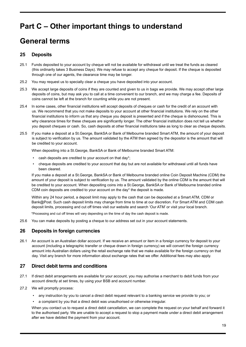# <span id="page-18-0"></span>**Part C – Other important things to understand**

# **General terms**

# **25 Deposits**

- 25.1 Funds deposited to your account by cheque will not be available for withdrawal until we treat the funds as cleared (this ordinarily takes 3 Business Days). We may refuse to accept any cheque for deposit. If the cheque is deposited through one of our agents, the clearance time may be longer.
- 25.2 You may request us to specially clear a cheque you have deposited into your account.
- 25.3 We accept large deposits of coins if they are counted and given to us in bags we provide. We may accept other large deposits of coins, but may ask you to call at a time convenient to our branch, and we may charge a fee. Deposits of coins cannot be left at the branch for counting while you are not present.
- 25.4 In some cases, other financial institutions will accept deposits of cheques or cash for the credit of an account with us. We recommend that you not make deposits to your account at other financial institutions. We rely on the other financial institutions to inform us that any cheque you deposit is presented and if the cheque is dishonoured. This is why clearance times for these cheques are significantly longer. The other financial institution does not tell us whether you deposit cheques or cash. So, cash deposits at other financial institutions take as long to clear as cheque deposits.
- 25.5 If you make a deposit at a St.George, BankSA or Bank of Melbourne branded Smart ATM, the amount of your deposit is subject to verification by us. The amount validated by the ATM then agreed by the depositor is the amount that will be credited to your account.

When depositing into a St.George, BankSA or Bank of Melbourne branded Smart ATM:

- cash deposits are credited to your account on that day\*;
- cheque deposits are credited to your account that day but are not available for withdrawal until all funds have been cleared.

If you make a deposit at a St.George, BankSA or Bank of Melbourne branded online Coin Deposit Machine (CDM) the amount of your deposit is subject to verification by us. The amount validated by the online CDM is the amount that will be credited to your account. When depositing coins into a St.George, BankSA or Bank of Melbourne branded online CDM coin deposits are credited to your account on the day\* the deposit is made.

Within any 24 hour period, a deposit limit may apply to the cash that can be deposited at a Smart ATM, CDM or Bank@Post. Such cash deposit limits may change from time to time at our discretion. For Smart ATM and CDM cash deposit limits, processing and cut off times visit our website and search 'Our ATM' or visit your local branch.

\*Processing and cut off times will vary depending on the time of day the cash deposit is made.

25.6 You can make deposits by posting a cheque to our address set out in your account statements.

# **26 Deposits in foreign currencies**

26.1 An account is an Australian dollar account. If we receive an amount or item in a foreign currency for deposit to your account (including a telegraphic transfer or cheque drawn in foreign currency) we will convert the foreign currency amount into Australian dollars using the retail exchange rate that we make available for the foreign currency on that day. Visit any branch for more information about exchange rates that we offer. Additional fees may also apply.

# **27 Direct debit terms and conditions**

- 27.1 If direct debit arrangements are available for your account, you may authorise a merchant to debit funds from your account directly at set times, by using your BSB and account number.
- 27.2 We will promptly process:
	- any instruction by you to cancel a direct debit request relevant to a banking service we provide to you; or
	- a complaint by you that a direct debit was unauthorised or otherwise irregular.

When you contact us to request a direct debit cancellation, we can complete the request on your behalf and forward it to the authorised party. We are unable to accept a request to stop a payment made under a direct debit arrangement after we have debited the payment from your account.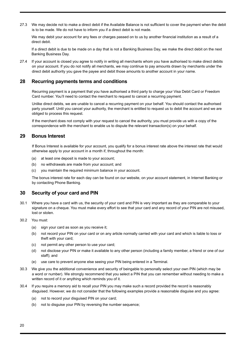27.3 We may decide not to make a direct debit if the Available Balance is not sufficient to cover the payment when the debit is to be made. We do not have to inform you if a direct debit is not made.

We may debit your account for any fees or charges passed on to us by another financial institution as a result of a direct debit.

If a direct debit is due to be made on a day that is not a Banking Business Day, we make the direct debit on the next Banking Business Day.

27.4 If your account is closed you agree to notify in writing all merchants whom you have authorised to make direct debits on your account. If you do not notify all merchants, we may continue to pay amounts drawn by merchants under the direct debit authority you gave the payee and debit those amounts to another account in your name.

### **28 Recurring payments terms and conditions**

 Recurring payment is a payment that you have authorised a third party to charge your Visa Debit Card or Freedom Card number. You'll need to contact the merchant to request to cancel a recurring payment.

 Unlike direct debits, we are unable to cancel a recurring payment on your behalf. You should contact the authorised party yourself. Until you cancel your authority, the merchant is entitled to request us to debit the account and we are obliged to process this request.

 If the merchant does not comply with your request to cancel the authority, you must provide us with a copy of the correspondence with the merchant to enable us to dispute the relevant transaction(s) on your behalf.

### **29 Bonus Interest**

 If Bonus Interest is available for your account, you qualify for a bonus interest rate above the interest rate that would otherwise apply to your account in a month if, throughout the month:

- (a) at least one deposit is made to your account;
- (b) no withdrawals are made from your account; and
- (c) you maintain the required minimum balance in your account.

 The bonus interest rate for each day can be found on our website, on your account statement, in Internet Banking or by contacting Phone Banking.

# **30 Security of your card and PIN**

30.1 Where you have a card with us, the security of your card and PIN is very important as they are comparable to your signature on a cheque. You must make every effort to see that your card and any record of your PIN are not misused, lost or stolen.

#### 30.2 You must:

- (a) sign your card as soon as you receive it;
- (b) not record your PIN on your card or on any article normally carried with your card and which is liable to loss or theft with your card;
- (c) not permit any other person to use your card;
- (d) not disclose your PIN or make it available to any other person (including a family member, a friend or one of our staff); and
- (e) use care to prevent anyone else seeing your PIN being entered in a Terminal.
- 30.3 We give you the additional convenience and security of beingable to personally select your own PIN (which may be a word or number). We strongly recommend that you select a PIN that you can remember without needing to make a written record of it or anything which reminds you of it.
- 30.4 If you require a memory aid to recall your PIN you may make such a record provided the record is reasonably disguised. However, we do not consider that the following examples provide a reasonable disguise and you agree:
	- (a) not to record your disguised PIN on your card;
	- (b) not to disguise your PIN by reversing the number sequence;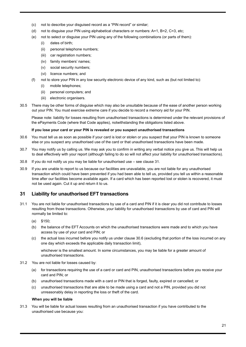- (c) not to describe your disguised record as a "PIN record" or similar;
- (d) not to disguise your PIN using alphabetical characters or numbers: A=1, B=2, C=3, etc;
- (e) not to select or disguise your PIN using any of the following combinations (or parts of them):
	- (i) dates of birth;
	- (ii) personal telephone numbers;
	- (iii) car registration numbers;
	- (iv) family members' names;
	- (v) social security numbers;
	- (vi) licence numbers; and
- (f) not to store your PIN in any low security electronic device of any kind, such as (but not limited to):
	- (i) mobile telephones;
	- (ii) personal computers; and
	- (iii) electronic organisers.
- 30.5 There may be other forms of disguise which may also be unsuitable because of the ease of another person working out your PIN. You must exercise extreme care if you decide to record a memory aid for your PIN.

Please note: liability for losses resulting from unauthorised transactions is determined under the relevant provisions of the ePayments Code (where that Code applies), notwithstanding the obligations listed above.

#### **If you lose your card or your PIN is revealed or you suspect unauthorised transactions**

- 30.6 You must tell us as soon as possible if your card is lost or stolen or you suspect that your PIN is known to someone else or you suspect any unauthorised use of the card or that unauthorised transactions have been made.
- 30.7 You may notify us by calling us. We may ask you to confirm in writing any verbal notice you give us. This will help us to deal effectively with your report (although failing to do so will not affect your liability for unauthorised transactions).
- 30.8 If you do not notify us you may be liable for unauthorised use see clause 31.
- 30.9 If you are unable to report to us because our facilities are unavailable, you are not liable for any unauthorised transaction which could have been prevented if you had been able to tell us, provided you tell us within a reasonable time after our facilities become available again. If a card which has been reported lost or stolen is recovered, it must not be used again. Cut it up and return it to us.

# **31 Liability for unauthorised EFT transactions**

- 31.1 You are not liable for unauthorised transactions by use of a card and PIN if it is clear you did not contribute to losses resulting from those transactions. Otherwise, your liability for unauthorised transactions by use of card and PIN will normally be limited to:
	- (a) \$150;
	- (b) the balance of the EFT Accounts on which the unauthorised transactions were made and to which you have access by use of your card and PIN; or
	- (c) the actual loss incurred before you notify us under clause 30.6 (excluding that portion of the loss incurred on any one day which exceeds the applicable daily transaction limit),

whichever is the smallest amount. In some circumstances, you may be liable for a greater amount of unauthorised transactions.

- 31.2 You are not liable for losses caused by:
	- (a) for transactions requiring the use of a card or card and PIN, unauthorised transactions before you receive your card and PIN; or
	- (b) unauthorised transactions made with a card or PIN that is forged, faulty, expired or cancelled; or
	- (c) unauthorised transactions that are able to be made using a card and not a PIN, provided you did not unreasonably delay in reporting the loss or theft of the card.

#### **When you will be liable**

31.3 You will be liable for actual losses resulting from an unauthorised transaction if you have contributed to the unauthorised use because you: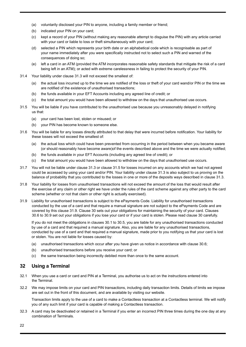- (a) voluntarily disclosed your PIN to anyone, including a family member or friend;
- (b) indicated your PIN on your card;
- (c) kept a record of your PIN (without making any reasonable attempt to disguise the PIN) with any article carried with your card or liable to loss or theft simultaneously with your card;
- (d) selected a PIN which represents your birth date or an alphabetical code which is recognisable as part of your name immediately after you were specifically instructed not to select such a PIN and warned of the consequences of doing so;
- (e) left a card in an ATM (provided the ATM incorporates reasonable safety standards that mitigate the risk of a card being left in an ATM); or acted with extreme carelessness in failing to protect the security of your PIN.
- 31.4 Your liability under clause 31.3 will not exceed the smallest of:
	- (a) the actual loss incurred up to the time we are notified of the loss or theft of your card wand/or PIN or the time we are notified of the existence of unauthorised transactions;
	- (b) the funds available in your EFT Accounts including any agreed line of credit; or
	- (c) the total amount you would have been allowed to withdraw on the days that unauthorised use occurs.
- 31.5 You will be liable if you have contributed to the unauthorised use because you unreasonably delayed in notifying us that:
	- (a) your card has been lost, stolen or misused; or
	- (b) your PIN has become known to someone else.
- 31.6 You will be liable for any losses directly attributed to that delay that were incurred before notification. Your liability for these losses will not exceed the smallest of:
	- (a) the actual loss which could have been prevented from occurring in the period between when you became aware (or should reasonably have become aware)of the events described above and the time we were actually notified;
	- (b) the funds available in your EFT Accounts (including any agreed line of credit); or
	- (c) the total amount you would have been allowed to withdraw on the days that unauthorised use occurs.
- 31.7 You will not be liable under clause 31.3 or clause 31.5 for losses incurred on any accounts which we had not agreed could be accessed by using your card and/or PIN. Your liability under clause 31.3 is also subject to us proving on the balance of probability that you contributed to the losses in one or more of the deposits ways described in clause 31.3.
- 31.8 Your liability for losses from unauthorised transactions will not exceed the amount of the loss that would result after the exercise of any claim or other right we have under the rules of the card scheme against any other party to the card scheme (whether or not that claim or other right is actually exercised).
- 31.9 Liability for unauthorised transactions is subject to the ePayments Code. Liability for unauthorised transactions conducted by the use of a card and that require a manual signature are not subject to the ePayments Code and are covered by this clause 31.9. Clause 30 sets out your obligations for maintaining the security of your card. Clauses 30.6 to 30.9 set out your obligations if you lose your card or if your card is stolen. Please read clause 30 carefully.

If you do not meet the obligations in clauses 30.1 to 30.5, you are liable for any unauthorised transactions conducted by use of a card and that required a manual signature. Also, you are liable for any unauthorised transactions, conducted by use of a card and that required a manual signature, made prior to you notifying us that your card is lost or stolen. You are not liable for losses caused by:

- (a) unauthorised transactions which occur after you have given us notice in accordance with clause 30.6;
- (b) unauthorised transactions before you receive your card; or
- (c) the same transaction being incorrectly debited more than once to the same account.

# **32 Using a Terminal**

- 32.1 When you use a card or card and PIN at a Terminal, you authorise us to act on the instructions entered into the Terminal.
- 32.2 We may impose limits on your card and PIN transactions, including daily transaction limits. Details of limits we impose are set out in the front of this document, and are available by visiting our website.

Transaction limits apply to the use of a card to make a Contactless transaction at a Contactless terminal. We will notify you of any such limit if your card is capable of making a Contactless transaction.

32.3 A card may be deactivated or retained in a Terminal if you enter an incorrect PIN three times during the one day at any combination of Terminals.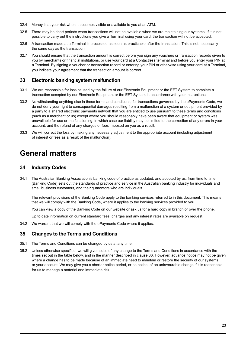- 32.4 Money is at your risk when it becomes visible or available to you at an ATM.
- 32.5 There may be short periods when transactions will not be available when we are maintaining our systems. If it is not possible to carry out the instructions you give a Terminal using your card, the transaction will not be accepted.
- 32.6 A transaction made at a Terminal is processed as soon as practicable after the transaction. This is not necessarily the same day as the transaction.
- 32.7 You should ensure that the transaction amount is correct before you sign any vouchers or transaction records given to you by merchants or financial institutions, or use your card at a Contactless terminal and before you enter your PIN at a Terminal. By signing a voucher or transaction record or entering your PIN or otherwise using your card at a Terminal, you indicate your agreement that the transaction amount is correct.

### **33 Electronic banking system malfunction**

- 33.1 We are responsible for loss caused by the failure of our Electronic Equipment or the EFT System to complete a transaction accepted by our Electronic Equipment or the EFT System in accordance with your instructions.
- 33.2 Notwithstanding anything else in these terms and conditions, for transactions governed by the ePayments Code, we do not deny your right to consequential damages resulting from a malfunction of a system or equipment provided by a party to a shared electronic payments network that you are entitled to use pursuant to these terms and conditions (such as a merchant or us) except where you should reasonably have been aware that equipment or system was unavailable for use or malfunctioning, in which case our liability may be limited to the correction of any errors in your account, and the refund of any charges or fees imposed on you as a result.
- 33.3 We will correct the loss by making any necessary adjustment to the appropriate account (including adjustment of interest or fees as a result of the malfunction).

# **General matters**

# **34 Industry Codes**

34.1 The Australian Banking Association's banking code of practice as updated, and adopted by us, from time to time (Banking Code) sets out the standards of practice and service in the Australian banking industry for individuals and small business customers, and their guarantors who are individuals.

The relevant provisions of the Banking Code apply to the banking services referred to in this document. This means that we will comply with the Banking Code, where it applies to the banking services provided to you.

You can view a copy of the Banking Code on our website or ask us for a hard copy in branch or over the phone.

Up to date information on current standard fees, charges and any interest rates are available on request.

34.2 We warrant that we will comply with the ePayments Code where it applies.

#### **35 Changes to the Terms and Conditions**

- 35.1 The Terms and Conditions can be changed by us at any time.
- 35.2 Unless otherwise specified, we will give notice of any change to the Terms and Conditions in accordance with the times set out in the table below, and in the manner described in clause 36. However, advance notice may not be given where a change has to be made because of an immediate need to maintain or restore the security of our systems or your account. We may give you a shorter notice period, or no notice, of an unfavourable change if it is reasonable for us to manage a material and immediate risk.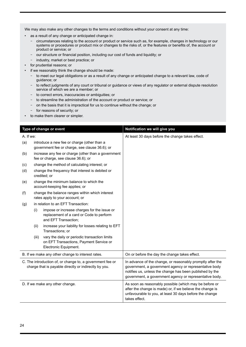We may also make any other changes to the terms and conditions without your consent at any time:

- as a result of any change or anticipated change in:
	- circumstances relating to the account or product or service such as, for example, changes in technology or our systems or procedures or product mix or changes to the risks of, or the features or benefits of, the account or product or service; or
	- our structure or financial position, including our cost of funds and liquidity; or
	- industry, market or best practice; or
- for prudential reasons; or
- if we reasonably think the change should be made:
	- to meet our legal obligations or as a result of any change or anticipated change to a relevant law, code of guidance; or
	- to reflect judgments of any court or tribunal or guidance or views of any regulator or external dispute resolution service of which we are a member; or
	- to correct errors, inaccuracies or ambiguities; or
	- to streamline the administration of the account or product or service; or
	- on the basis that it is impractical for us to continue without the change; or
	- for reasons of security; or
- to make them clearer or simpler.

|                                                                                                                    |       | Type of change or event                                                                                           | Notification we will give you                                                                                                                                                                                                               |
|--------------------------------------------------------------------------------------------------------------------|-------|-------------------------------------------------------------------------------------------------------------------|---------------------------------------------------------------------------------------------------------------------------------------------------------------------------------------------------------------------------------------------|
| A. If we:                                                                                                          |       |                                                                                                                   | At least 30 days before the change takes effect.                                                                                                                                                                                            |
| (a)                                                                                                                |       | introduce a new fee or charge (other than a<br>government fee or charge, see clause 36.6); or                     |                                                                                                                                                                                                                                             |
| (b)                                                                                                                |       | increase any fee or charge (other than a government<br>fee or charge, see clause 36.6); or                        |                                                                                                                                                                                                                                             |
| (c)                                                                                                                |       | change the method of calculating interest; or                                                                     |                                                                                                                                                                                                                                             |
| (d)                                                                                                                |       | change the frequency that interest is debited or<br>credited; or                                                  |                                                                                                                                                                                                                                             |
| (e)                                                                                                                |       | change the minimum balance to which the<br>account-keeping fee applies; or                                        |                                                                                                                                                                                                                                             |
| (f)                                                                                                                |       | change the balance ranges within which interest<br>rates apply to your account; or                                |                                                                                                                                                                                                                                             |
| (g)                                                                                                                |       | in relation to an EFT Transaction:                                                                                |                                                                                                                                                                                                                                             |
|                                                                                                                    | (i)   | impose or increase charges for the issue or<br>replacement of a card or Code to perform<br>and EFT Transaction;   |                                                                                                                                                                                                                                             |
|                                                                                                                    | (ii)  | increase your liability for losses relating to EFT<br>Transactions: or                                            |                                                                                                                                                                                                                                             |
|                                                                                                                    | (iii) | vary the daily or periodic transaction limits<br>on EFT Transactions, Payment Service or<br>Electronic Equipment. |                                                                                                                                                                                                                                             |
|                                                                                                                    |       | B. If we make any other change to interest rates.                                                                 | On or before the day the change takes effect.                                                                                                                                                                                               |
| C. The introduction of, or change to, a government fee or<br>charge that is payable directly or indirectly by you. |       |                                                                                                                   | In advance of the change, or reasonably promptly after the<br>government, a government agency or representative body<br>notifies us, unless the change has been published by the<br>government, a government agency or representative body. |
| D. If we make any other change.                                                                                    |       |                                                                                                                   | As soon as reasonably possible (which may be before or<br>after the change is made) or, if we believe the change is<br>unfavourable to you, at least 30 days before the change<br>takes effect.                                             |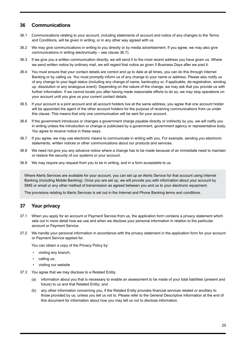# **36 Communications**

- 36.1 Communications relating to your account, including statements of account and notice of any changes to the Terms and Conditions, will be given in writing, or in any other way agreed with us.
- 36.2 We may give communications in writing to you directly or by media advertisement. If you agree, we may also give communications in writing electronically – see clause 36.7).
- 36.3 If we give you a written communication directly, we will send it to the most recent address you have given us. Where we send written notice by ordinary mail, we will regard that notice as given 5 Business Days after we post it.
- 36.4 You must ensure that your contact details are correct and up to date at all times, you can do this through Internet Banking or by calling us. You must promptly inform us of any change to your name or address. Please also notify us of any change to your legal status (including any change of name, bankruptcy or, if applicable, de-registration, winding up, dissolution or any analogous event). Depending on the nature of the change, we may ask that you provide us with further information. If we cannot locate you after having made reasonable efforts to do so, we may stop operations on your account until you give us your current contact details.
- 36.5 If your account is a joint account and all account holders live at the same address, you agree that one account holder will be appointed the agent of the other account holders for the purpose of receiving communications from us under this clause. This means that only one communication will be sent for your account.
- 36.6 If the government introduces or changes a government charge payable directly or indirectly by you, we will notify you in writing unless the introduction or change is publicised by a government, government agency or representative body. You agree to receive notice in these ways.
- 36.7 If you agree, we may use electronic means to communicate in writing with you. For example, sending you electronic statements, written notices or other communications about our products and services.
- 36.8 We need not give you any advance notice where a change has to be made because of an immediate need to maintain or restore the security of our systems or your account.
- 36.9 We may require any request from you to be in writing, and in a form acceptable to us.

Where Alerts Services are available for your account, you can set up an Alerts Service for that account using Internet Banking (including Mobile Banking). Once you are set up, we will provide you with information about your account by SMS or email or any other method of transmission as agreed between you and us to your electronic equipment.

The provisions relating to Alerts Services is set out in the Internet and Phone Banking terms and conditions.

# **37 Your privacy**

- 37.1 When you apply for an account or Payment Service from us, the application form contains a privacy statement which sets out in more detail how we use and when we disclose your personal information in relation to the particular account or Payment Service.
- 37.2 We handle your personal information in accordance with the privacy statement in the application form for your account or Payment Service applied for.

You can obtain a copy of the Privacy Policy by:

- visiting any branch;
- calling us;
- visiting our website
- 37.3 You agree that we may disclose to a Related Entity:
	- (a) information about you that is necessary to enable an assessment to be made of your total liabilities (present and future) to us and that Related Entity; and
	- (b) any other information concerning you, if the Related Entity provides financial services related or ancillary to those provided by us, unless you tell us not to. Please refer to the General Descriptive Information at the end of this document for information about how you may tell us not to disclose information.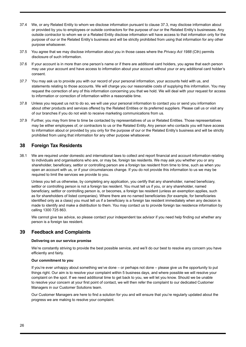- 37.4 We, or any Related Entity to whom we disclose information pursuant to clause 37.3, may disclose information about or provided by you to employees or outside contractors for the purpose of our or the Related Entity's businesses. Any outside contractor to whom we or a Related Entity disclose information will have access to that information only for the purpose of our or the Related Entity's business and will be strictly prohibited from using that information for any other purpose whatsoever.
- 37.5 You agree that we may disclose information about you in those cases where the *Privacy Act 1988* (Cth) permits disclosure of such information.
- 37.6 If your account is in more than one person's name or if there are additional card holders, you agree that each person may use your account and have access to information about your account without your or any additional card holder's consent.
- 37.7 You may ask us to provide you with our record of your personal information, your accounts held with us, and statements relating to those accounts. We will charge you our reasonable costs of supplying this information. You may request the correction of any of this information concerning you that we hold. We will deal with your request for access to information or correction of information within a reasonable time.
- 37.8 Unless you request us not to do so, we will use your personal information to contact you or send you information about other products and services offered by the Related Entities or its preferred suppliers. Please call us or visit any of our branches if you do not wish to receive marketing communications from us.
- 37.9 Further, you may from time to time be contacted by representatives of us or Related Entities. Those representatives may be either employees of, or contractors to us or the Related Entity. Any person who contacts you will have access to information about or provided by you only for the purpose of our or the Related Entity's business and will be strictly prohibited from using that information for any other purpose whatsoever.

# **38 Foreign Tax Residents**

38.1 We are required under domestic and international laws to collect and report financial and account information relating to individuals and organisations who are, or may be, foreign tax residents. We may ask you whether you or any shareholder, beneficiary, settlor or controlling person are a foreign tax resident from time to time, such as when you open an account with us, or if your circumstances change. If you do not provide this information to us we may be required to limit the services we provide to you.

Unless you tell us otherwise, by completing any application, you certify that any shareholder, named beneficiary, settlor or controlling person is not a foreign tax resident. You must tell us if you, or any shareholder, named beneficiary, settlor or controlling person is, or becomes, a foreign tax resident (unless an exemption applies, such as for shareholders of listed companies). Where there are no named beneficiaries (for example, for beneficiaries identified only as a class) you must tell us if a beneficiary is a foreign tax resident immediately when any decision is made to identify and make a distribution to them. You may contact us to provide foreign tax residence information by calling 1300 725 863.

We cannot give tax advice, so please contact your independent tax advisor if you need help finding out whether any person is a foreign tax resident.

# **39 Feedback and Complaints**

#### **Delivering on our service promise**

We're constantly striving to provide the best possible service, and we'll do our best to resolve any concern you have efficiently and fairly.

#### **Our commitment to you**

If you're ever unhappy about something we've done – or perhaps not done – please give us the opportunity to put things right. Our aim is to resolve your complaint within 5 business days, and where possible we will resolve your complaint on the spot. If we need additional time to get back to you, we will let you know. Should we be unable to resolve your concern at your first point of contact, we will then refer the complaint to our dedicated Customer Managers in our Customer Solutions team.

Our Customer Managers are here to find a solution for you and will ensure that you're regularly updated about the progress we are making to resolve your complaint.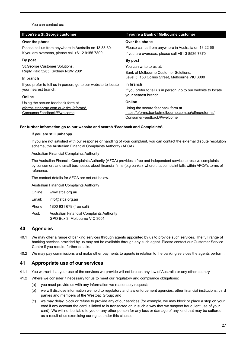You can contact us:

| If you're a St. George customer                                                                            | If you're a Bank of Melbourne customer                                                                    |
|------------------------------------------------------------------------------------------------------------|-----------------------------------------------------------------------------------------------------------|
| Over the phone                                                                                             | Over the phone                                                                                            |
| Please call us from anywhere in Australia on 13 33 30.<br>If you are overseas, please call +61 2 9155 7800 | Please call us from anywhere in Australia on 13 22 66<br>If you are overseas, please call +61 3 8536 7870 |
| By post                                                                                                    | By post                                                                                                   |
| <b>St. George Customer Solutions,</b>                                                                      | You can write to us at:                                                                                   |
| Reply Paid 5265, Sydney NSW 2001                                                                           | Bank of Melbourne Customer Solutions,                                                                     |
| In branch                                                                                                  | Level 5, 150 Collins Street, Melbourne VIC 3000                                                           |
| If you prefer to tell us in person, go to our website to locate                                            | In branch                                                                                                 |
| your nearest branch.                                                                                       | If you prefer to tell us in person, go to our website to locate                                           |
| Online                                                                                                     | your nearest branch.                                                                                      |
| Using the secure feedback form at                                                                          | Online                                                                                                    |
| eforms.stgeorge.com.au/olfmu/eforms/                                                                       | Using the secure feedback form at                                                                         |
| ConsumerFeedback/#/welcome                                                                                 | https://eforms.bankofmelbourne.com.au/olfmu/eforms/                                                       |
|                                                                                                            | ConsumerFeedback/#/welcome                                                                                |

#### **For further information go to our website and search 'Feedback and Complaints'.**

#### **If you are still unhappy**

If you are not satisfied with our response or handling of your complaint, you can contact the external dispute resolution scheme, the Australian Financial Complaints Authority (AFCA).

Australian Financial Complaints Authority

The Australian Financial Complaints Authority (AFCA) provides a free and independent service to resolve complaints by consumers and small businesses about financial firms (e.g banks), where that complaint falls within AFCA's terms of reference.

The contact details for AFCA are set out below.

Australian Financial Complaints Authority

Online: [www.afca.org.au](http://www.afca.org.au)

Email: [info@afca.org.au](mailto:info@afca.org.au )

Phone 1800 931 678 (free call)

Post: Australian Financial Complaints Authority GPO Box 3, Melbourne VIC 3001

# **40 Agencies**

- 40.1 We may offer a range of banking services through agents appointed by us to provide such services. The full range of banking services provided by us may not be available through any such agent. Please contact our Customer Service Centre if you require further details.
- 40.2 We may pay commissions and make other payments to agents in relation to the banking services the agents perform.

#### **41 Appropriate use of our services**

- 41.1 You warrant that your use of the services we provide will not breach any law of Australia or any other country.
- 41.2 Where we consider it necessary for us to meet our regulatory and compliance obligations:
	- (a) you must provide us with any information we reasonably request;
	- (b) we will disclose information we hold to regulatory and law enforcement agencies, other financial institutions, third parties and members of the Westpac Group; and
	- (c) we may delay, block or refuse to provide any of our services (for example, we may block or place a stop on your card if any account the card is linked to is transacted on in such a way that we suspect fraudulent use of your card). We will not be liable to you or any other person for any loss or damage of any kind that may be suffered as a result of us exercising our rights under this clause.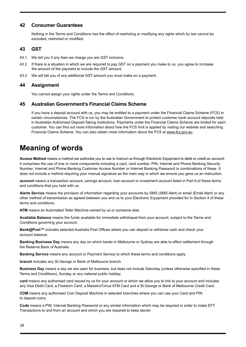# <span id="page-27-0"></span>**42 Consumer Guarantees**

Nothing in the Terms and Conditions has the effect of restricting or modifying any rights which by law cannot be excluded, restricted or modified.

# **43 GST**

- 43.1 We tell you if any fees we charge you are GST inclusive.
- 43.2 If there is a situation in which we are required to pay GST on a payment you make to us, you agree to increase the amount of the payment to include the GST amount.
- 43.3 We will tell you of any additional GST amount you must make on a payment.

### **44 Assignment**

You cannot assign your rights under the Terms and Conditions.

# **45 Australian Government's Financial Claims Scheme**

If you have a deposit account with us, you may be entitled to a payment under the Financial Claims Scheme (FCS) in certain circumstances. The FCS is run by the Australian Government to protect customer bank account deposits held in Australian Authorised Deposit-Taking Institutions. Payments under the Financial Claims Scheme are limited for each customer. You can find out more information about how the FCS limit is applied by visiting our website and searching Financial Claims Scheme. You can also obtain more information about the FCS at [www.fcs.gov.au.](http://www.fcs.gov.au)

# **Meaning of words**

**Access Method** means a method we authorise you to use to instruct us through Electronic Equipment to debit or credit an account. It comprises the use of one or more components including a card, card number, PIN, Internet and Phone Banking Security Number, Internet and Phone Banking Customer Access Number or Internet Banking Password or combinations of these. It does not include a method requiring your manual signature as the main way in which we ensure you gave us an instruction.

**account** means a transaction account, savings account, loan account or investment account listed in Part A of these terms and conditions that you hold with us.

**Alerts Service** means the provision of information regarding your accounts by SMS (SMS Alert) or email (Email Alert) or any other method of transmission as agreed between you and us to your Electronic Equipment provided for in Section 4 of these terms and conditions.

**ATM** means an Automated Teller Machine owned by us or someone else.

**Available Balance** means the funds available for immediate withdrawal from your account, subject to the Terms and Conditions governing your account.

**Bank@Post™** includes selected Australia Post Offices where you can deposit or withdraw cash and check your account balance.

**Banking Business Day** means any day on which banks in Melbourne or Sydney are able to effect settlement through the Reserve Bank of Australia.

**Banking Service** means any account or Payment Service to which these terms and conditions apply.

**branch** includes any St.George or Bank of Melbourne branch.

**Business Day** means a day we are open for business, but does not include Saturday (unless otherwise specified in these Terms and Conditions), Sunday or any national public holiday.

**card** means any authorised card issued by us for your account or which we allow you to link to your account and includes any Visa Debit Card, a Freedom Card, a Maestro/Cirrus ATM Card and a St.George or Bank of Melbourne Credit Card.

**CDM** means any authorised Coin Deposit Machine in selected branches where you can use your Card and PIN to deposit coins.

**Code** means a PIN, Internet Banking Password or any similar information which may be required in order to make EFT Transactions to and from an account and which you are required to keep secret.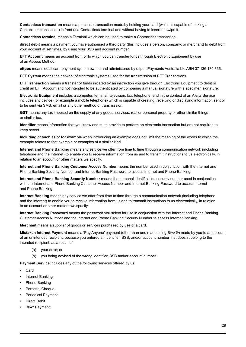**Contactless transaction** means a purchase transaction made by holding your card (which is capable of making a Contactless transaction) in front of a Contactless terminal and without having to insert or swipe it.

**Contactless terminal** means a Terminal which can be used to make a Contactless transaction.

**direct debit** means a payment you have authorised a third party (this includes a person, company, or merchant) to debit from your account at set times, by using your BSB and account number.

**EFT Account** means an account from or to which you can transfer funds through Electronic Equipment by use of an Access Method.

**eftpos** means debit card payment system owned and administered by eftpos Payments Australia Ltd ABN 37 136 180 366.

**EFT System** means the network of electronic systems used for the transmission of EFT Transactions.

**EFT Transaction** means a transfer of funds initiated by an instruction you give through Electronic Equipment to debit or credit an EFT Account and not intended to be authenticated by comparing a manual signature with a specimen signature.

**Electronic Equipment** includes a computer, terminal, television, fax, telephone, and in the context of an Alerts Service includes any device (for example a mobile telephone) which is capable of creating, receiving or displaying information sent or to be sent via SMS, email or any other method of transmission.

**GST** means any tax imposed on the supply of any goods, services, real or personal property or other similar things or similar tax.

**Identifier** means information that you know and must provide to perform an electronic transaction but are not required to keep secret.

**Including** or **such as** or **for example** when introducing an example does not limit the meaning of the words to which the example relates to that example or examples of a similar kind.

**Internet and Phone Banking** means any service we offer from time to time through a communication network (including telephone and the Internet) to enable you to receive information from us and to transmit instructions to us electronically, in relation to an account or other matters we specify.

**Internet and Phone Banking Customer Access Number** means the number used in conjunction with the Internet and Phone Banking Security Number and Internet Banking Password to access Internet and Phone Banking.

**Internet and Phone Banking Security Number** means the personal identification security number used in conjunction with the Internet and Phone Banking Customer Access Number and Internet Banking Password to access Internet and Phone Banking.

**Internet Banking** means any service we offer from time to time through a communication network (including telephone and the internet) to enable you to receive information from us and to transmit instructions to us electronically, in relation to an account or other matters we specify.

**Internet Banking Password** means the password you select for use in conjunction with the Internet and Phone Banking Customer Access Number and the Internet and Phone Banking Security Number to access Internet Banking.

**Merchant** means a supplier of goods or services purchased by use of a card.

**Mistaken Internet Payment** means a 'Pay Anyone' payment (other than one made using BPAY®) made by you to an account of an unintended recipient, because you entered an identifier, BSB, and/or account number that doesn't belong to the intended recipient, as a result of:

- (a) your error; or
- (b) you being advised of the wrong identifier, BSB and/or account number.

**Payment Service** includes any of the following services offered by us:

- Card
- Internet Banking
- Phone Banking
- Personal Cheque
- Periodical Payment
- Direct Debit
- **BPAY Payment;**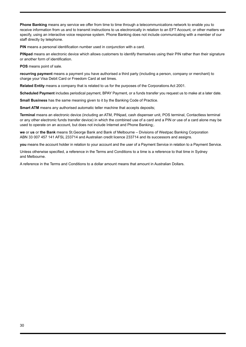**Phone Banking** means any service we offer from time to time through a telecommunications network to enable you to receive information from us and to transmit instructions to us electronically in relation to an EFT Account, or other matters we specify, using an interactive voice response system. Phone Banking does not include communicating with a member of our staff directly by telephone.

**PIN** means a personal identification number used in conjunction with a card.

**PINpad** means an electronic device which allows customers to identify themselves using their PIN rather than their signature or another form of identification.

**POS** means point of sale.

**recurring payment** means a payment you have authorised a third party (including a person, company or merchant) to charge your Visa Debit Card or Freedom Card at set times.

**Related Entity** means a company that is related to us for the purposes of the Corporations Act 2001.

**Scheduled Payment** includes periodical payment, BPAY Payment, or a funds transfer you request us to make at a later date.

**Small Business** has the same meaning given to it by the Banking Code of Practice.

**Smart ATM** means any authorised automatic teller machine that accepts deposits;

**Terminal** means an electronic device (including an ATM, PINpad, cash dispenser unit, POS terminal, Contactless terminal or any other electronic funds transfer device) in which the combined use of a card and a PIN or use of a card alone may be used to operate on an account, but does not include Internet and Phone Banking;.

**we** or **us** or **the Bank** means St.George Bank and Bank of Melbourne – Divisions of Westpac Banking Corporation ABN 33 007 457 141 AFSL 233714 and Australian credit licence 233714 and its successors and assigns.

**you** means the account holder in relation to your account and the user of a Payment Service in relation to a Payment Service.

Unless otherwise specified, a reference in the Terms and Conditions to a time is a reference to that time in Sydney and Melbourne.

A reference in the Terms and Conditions to a dollar amount means that amount in Australian Dollars.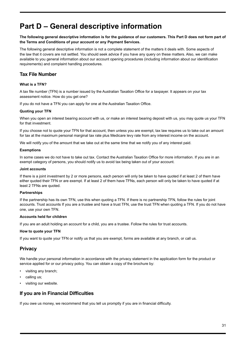# <span id="page-30-0"></span>**Part D – General descriptive information**

#### **The following general descriptive information is for the guidance of our customers. This Part D does not form part of the Terms and Conditions of your account or any Payment Services.**

The following general descriptive information is not a complete statement of the matters it deals with. Some aspects of the law that it covers are not settled. You should seek advice if you have any query on these matters. Also, we can make available to you general information about our account opening procedures (including information about our identification requirements) and complaint handling procedures.

# **Tax File Number**

#### **What is a TFN?**

A tax file number (TFN) is a number issued by the Australian Taxation Office for a taxpayer. It appears on your tax assessment notice. How do you get one?

If you do not have a TFN you can apply for one at the Australian Taxation Office.

#### **Quoting your TFN**

When you open an interest bearing account with us, or make an interest bearing deposit with us, you may quote us your TFN for that investment.

If you choose not to quote your TFN for that account, then unless you are exempt, tax law requires us to take out an amount for tax at the maximum personal marginal tax rate plus Medicare levy rate from any interest income on the account.

We will notify you of the amount that we take out at the same time that we notify you of any interest paid.

#### **Exemptions**

In some cases we do not have to take out tax. Contact the Australian Taxation Office for more information. If you are in an exempt category of persons, you should notify us to avoid tax being taken out of your account.

#### **Joint accounts**

If there is a joint investment by 2 or more persons, each person will only be taken to have quoted if at least 2 of them have either quoted their TFN or are exempt. If at least 2 of them have TFNs, each person will only be taken to have quoted if at least 2 TFNs are quoted.

#### **Partnerships**

If the partnership has its own TFN, use this when quoting a TFN. If there is no partnership TFN, follow the rules for joint accounts. Trust accounts If you are a trustee and have a trust TFN, use the trust TFN when quoting a TFN. If you do not have one, use your own TFN.

#### **Accounts held for children**

If you are an adult holding an account for a child, you are a trustee. Follow the rules for trust accounts.

#### **How to quote your TFN**

If you want to quote your TFN or notify us that you are exempt, forms are available at any branch, or call us.

# **Privacy**

We handle your personal information in accordance with the privacy statement in the application form for the product or service applied for or our privacy policy. You can obtain a copy of the brochure by:

- visiting any branch;
- calling us;
- visiting our website.

# **If you are in Financial Difficulties**

If you owe us money, we recommend that you tell us promptly if you are in financial difficulty.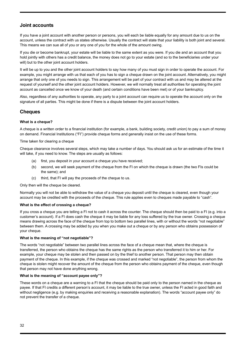# **Joint accounts**

If you have a joint account with another person or persons, you will each be liable equally for any amount due to us on the account, unless the contract with us states otherwise. Usually the contract will state that your liability is both joint and several. This means we can sue all of you or any one of you for the whole of the amount owing.

If you die or become bankrupt, your estate will be liable to the same extent as you were. If you die and an account that you hold jointly with others has a credit balance, the money does not go to your estate (and so to the beneficiaries under your will) but to the other joint account holders.

It will be up to you and the other joint account holders to say how many of you must sign in order to operate the account. For example, you might arrange with us that each of you has to sign a cheque drawn on the joint account. Alternatively, you might arrange that only one of you needs to sign. This arrangement will be part of your contract with us and may be altered at the request of yourself and the other joint account holders. However, we will normally treat all authorities for operating the joint account as cancelled once we know of your death (and certain conditions have been met) or of your bankruptcy.

Also, regardless of any authorities to operate, any party to a joint account can require us to operate the account only on the signature of all parties. This might be done if there is a dispute between the joint account holders.

# **Cheques**

#### **What is a cheque?**

A cheque is a written order to a financial institution (for example, a bank, building society, credit union) to pay a sum of money on demand. Financial Institutions ("FI") provide cheque forms and generally insist on the use of these forms.

Time taken for clearing a cheque

Cheque clearance involves several steps, which may take a number of days. You should ask us for an estimate of the time it will take, if you need to know. The steps are usually as follows:

- (a) first, you deposit in your account a cheque you have received;
- (b) second, we will seek payment of the cheque from the FI on which the cheque is drawn (the two FIs could be the same); and
- (c) third, that FI will pay the proceeds of the cheque to us.

Only then will the cheque be cleared.

Normally you will not be able to withdraw the value of a cheque you deposit until the cheque is cleared, even though your account may be credited with the proceeds of the cheque. This rule applies even to cheques made payable to "cash".

#### **What is the effect of crossing a cheque?**

If you cross a cheque you are telling a FI not to cash it across the counter. The cheque should then be paid to a FI (e.g. into a customer's account). If a FI does cash the cheque it may be liable for any loss suffered by the true owner. Crossing a cheque means drawing across the face of the cheque from top to bottom two parallel lines, with or without the words "not negotiable" between them. A crossing may be added by you when you make out a cheque or by any person who obtains possession of your cheque.

#### **What is the meaning of "not negotiable"?**

The words "not negotiable" between two parallel lines across the face of a cheque mean that, where the cheque is transferred, the person who obtains the cheque has the same rights as the person who transferred it to him or her. For example, your cheque may be stolen and then passed on by the thief to another person. That person may then obtain payment of the cheque. In this example, if the cheque was crossed and marked "not negotiable", the person from whom the cheque is stolen might recover the amount of the cheque from the person who obtains payment of the cheque, even though that person may not have done anything wrong.

#### **What is the meaning of "account payee only"?**

These words on a cheque are a warning to a FI that the cheque should be paid only to the person named in the cheque as payee. If that FI credits a different person's account, it may be liable to the true owner, unless the FI acted in good faith and without negligence (e.g. by making enquiries and receiving a reasonable explanation). The words "account payee only" do not prevent the transfer of a cheque.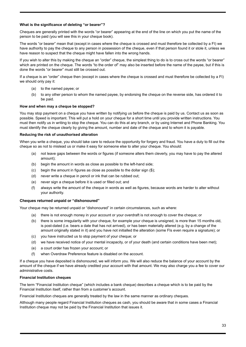#### **What is the significance of deleting "or bearer"?**

Cheques are generally printed with the words "or bearer" appearing at the end of the line on which you put the name of the person to be paid (you will see this in your cheque book).

The words "or bearer" mean that (except in cases where the cheque is crossed and must therefore be collected by a FI) we have authority to pay the cheque to any person in possession of the cheque, even if that person found it or stole it, unless we have reason to suspect that the cheque might have fallen into the wrong hands.

If you wish to alter this by making the cheque an "order" cheque, the simplest thing to do is to cross out the words "or bearer" which are printed on the cheque. The words "to the order of" may also be inserted before the name of the payee, but if this is done the words "or bearer" must still be crossed out.

If a cheque is an "order" cheque then (except in cases where the cheque is crossed and must therefore be collected by a FI) we should only pay it:

- (a) to the named payee; or
- (b) to any other person to whom the named payee, by endorsing the cheque on the reverse side, has ordered it to be paid.

#### **How and when may a cheque be stopped?**

You may stop payment on a cheque you have written by notifying us before the cheque is paid by us. Contact us as soon as possible. Speed is important. This will put a hold on your cheque for a short time until you provide written instructions. You must then notify us in writing to stop the cheque. You can do this at any branch, or by using Internet and Phone Banking. You must identify the cheque clearly by giving the amount, number and date of the cheque and to whom it is payable.

#### **Reducing the risk of unauthorised alteration**

When you write a cheque, you should take care to reduce the opportunity for forgery and fraud. You have a duty to fill out the cheque so as not to mislead us or make it easy for someone else to alter your cheque. You should:

- (a) not leave gaps between the words or figures (if someone alters them cleverly, you may have to pay the altered amount);
- (b) begin the amount in words as close as possible to the left-hand side;
- (c) begin the amount in figures as close as possible to the dollar sign (\$);
- (d) never write a cheque in pencil or ink that can be rubbed out;
- (e) never sign a cheque before it is used or filled out; and
- (f) always write the amount of the cheque in words as well as figures, because words are harder to alter without your authority.

#### **Cheques returned unpaid or "dishonoured"**

Your cheque may be returned unpaid or "dishonoured" in certain circumstances, such as where:

- (a) there is not enough money in your account or your overdraft is not enough to cover the cheque; or
- (b) there is some irregularity with your cheque, for example your cheque is unsigned, is more than 15 months old, is post-dated (i.e. bears a date that has not arrived), or has been materially altered (e.g. by a change of the amount originally stated in it) and you have not initialled the alteration (some FIs even require a signature); or
- (c) you have instructed us to stop payment of your cheque; or
- (d) we have received notice of your mental incapacity, or of your death (and certain conditions have been met);
- (e) a court order has frozen your account; or
- (f) when Overdraw Preference feature is disabled on the account.

If a cheque you have deposited is dishonoured, we will inform you. We will also reduce the balance of your account by the amount of the cheque if we have already credited your account with that amount. We may also charge you a fee to cover our administrative costs.

#### **Financial Institution cheques**

The term "Financial Institution cheque" (which includes a bank cheque) describes a cheque which is to be paid by the Financial Institution itself, rather than from a customer's account.

Financial Institution cheques are generally treated by the law in the same manner as ordinary cheques.

Although many people regard Financial Institution cheques as cash, you should be aware that in some cases a Financial Institution cheque may not be paid by the Financial Institution that issues it.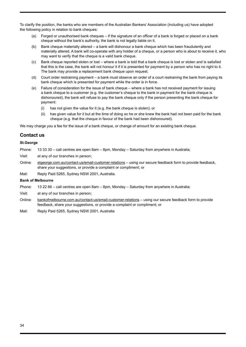To clarify the position, the banks who are members of the Australian Bankers' Association (including us) have adopted the following policy in relation to bank cheques:

- (a) Forged or unauthorised bank cheques if the signature of an officer of a bank is forged or placed on a bank cheque without the bank's authority, the bank is not legally liable on it.
- (b) Bank cheque materially altered a bank will dishonour a bank cheque which has been fraudulently and materially altered. A bank will co-operate with any holder of a cheque, or a person who is about to receive it, who may want to verify that the cheque is a valid bank cheque.
- (c) Bank cheque reported stolen or lost where a bank is told that a bank cheque is lost or stolen and is satisfied that this is the case, the bank will not honour it if it is presented for payment by a person who has no right to it. The bank may provide a replacement bank cheque upon request.
- (d) Court order restraining payment a bank must observe an order of a court restraining the bank from paying its bank cheque which is presented for payment while the order is in force.
- (e) Failure of consideration for the issue of bank cheque where a bank has not received payment for issuing a bank cheque to a customer (e.g. the customer's cheque to the bank in payment for the bank cheque is dishonoured), the bank will refuse to pay the bank cheque only if the person presenting the bank cheque for payment:
	- (i) has not given the value for it (e.g. the bank cheque is stolen); or
	- (ii) has given value for it but at the time of doing so he or she knew the bank had not been paid for the bank cheque (e.g. that the cheque in favour of the bank had been dishonoured).

We may charge you a fee for the issue of a bank cheque, or change of amount for an existing bank cheque.

### **Contact us**

#### **St.George**

Phone: 13 33 30 – call centres are open 8am – 8pm, Monday – Saturday from anywhere in Australia;

- Visit: at any of our branches in person;
- Online: [stgeorge.com.au/contact-us/email-customer-relations](http://stgeorge.com.au/contact-us/email-customer-relations)  using our secure feedback form to provide feedback, share your suggestions, or provide a complaint or compliment; or
- Mail: Reply Paid 5265, Sydney NSW 2001, Australia.

#### **Bank of Melbourne**

Phone: 13 22 66 – call centres are open 8am – 8pm, Monday – Saturday from anywhere in Australia;

Visit: at any of our branches in person;

- Online: [bankofmelbourne.com.au/contact-us/email-customer-relations](http://bankofmelbourne.com.au/contact-us/email-customer-relations) using our secure feedback form to provide feedback, share your suggestions, or provide a complaint or compliment; or
- Mail: Reply Paid 5265, Sydney NSW 2001, Australia